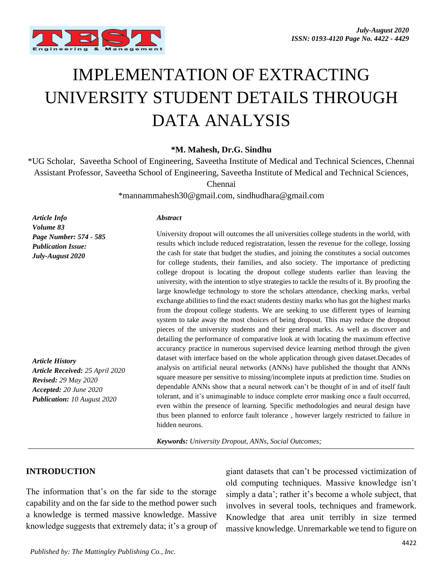

# IMPLEMENTATION OF EXTRACTING UNIVERSITY STUDENT DETAILS THROUGH DATA ANALYSIS

**\*M. Mahesh, Dr.G. Sindhu**

\*UG Scholar, Saveetha School of Engineering, Saveetha Institute of Medical and Technical Sciences, Chennai Assistant Professor, Saveetha School of Engineering, Saveetha Institute of Medical and Technical Sciences,

Chennai

\*mannammahesh30@gmail.com, sindhudhara@gmail.com

*Abstract*

*Article Info Volume 83 Page Number: 574 - 585 Publication Issue: July-August 2020*

*Article History Article Received: 25 April 2020 Revised: 29 May 2020 Accepted: 20 June 2020 Publication: 10 August 2020*

University dropout will outcomes the all universities college students in the world, with results which include reduced registratation, lessen the revenue for the college, lossing the cash for state that budget the studies, and joining the constitutes a social outcomes for college students, their families, and also society. The importance of predicting college dropout is locating the dropout college students earlier than leaving the university, with the intention to stlye strategies to tackle the results of it. By proofing the large knowledge technology to store the scholars attendance, checking marks, verbal exchange abilities to find the exact students destiny marks who has got the highest marks from the dropout college students. We are seeking to use different types of learning system to take away the most choices of being dropout. This may reduce the dropout pieces of the university students and their general marks. As well as discover and detailing the performance of comparative look at with locating the maximum effective accurancy practice in numerous supervised device learning method through the given dataset with interface based on the whole application through given dataset.Decades of analysis on artificial neural networks (ANNs) have published the thought that ANNs square measure per sensitive to missing/incomplete inputs at prediction time. Studies on dependable ANNs show that a neural network can't be thought of in and of itself fault tolerant, and it's unimaginable to induce complete error masking once a fault occurred, even within the presence of learning. Specific methodologies and neural design have thus been planned to enforce fault tolerance , however largely restricted to failure in hidden neurons.

*Keywords: University Dropout, ANNs, Social Outcomes;*

### **INTRODUCTION**

The information that's on the far side to the storage capability and on the far side to the method power such a knowledge is termed massive knowledge. Massive knowledge suggests that extremely data; it's a group of giant datasets that can't be processed victimization of old computing techniques. Massive knowledge isn't simply a data'; rather it's become a whole subject, that involves in several tools, techniques and framework. Knowledge that area unit terribly in size termed massive knowledge. Unremarkable we tend to figure on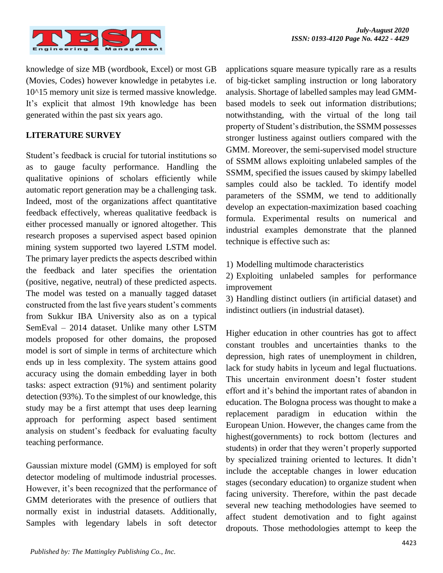

knowledge of size MB (wordbook, Excel) or most GB (Movies, Codes) however knowledge in petabytes i.e. 10^15 memory unit size is termed massive knowledge. It's explicit that almost 19th knowledge has been generated within the past six years ago.

# **LITERATURE SURVEY**

Student's feedback is crucial for tutorial institutions so as to gauge faculty performance. Handling the qualitative opinions of scholars efficiently while automatic report generation may be a challenging task. Indeed, most of the organizations affect quantitative feedback effectively, whereas qualitative feedback is either processed manually or ignored altogether. This research proposes a supervised aspect based opinion mining system supported two layered LSTM model. The primary layer predicts the aspects described within the feedback and later specifies the orientation (positive, negative, neutral) of these predicted aspects. The model was tested on a manually tagged dataset constructed from the last five years student's comments from Sukkur IBA University also as on a typical SemEval – 2014 dataset. Unlike many other LSTM models proposed for other domains, the proposed model is sort of simple in terms of architecture which ends up in less complexity. The system attains good accuracy using the domain embedding layer in both tasks: aspect extraction (91%) and sentiment polarity detection (93%). To the simplest of our knowledge, this study may be a first attempt that uses deep learning approach for performing aspect based sentiment analysis on student's feedback for evaluating faculty teaching performance.

Gaussian mixture model (GMM) is employed for soft detector modeling of multimode industrial processes. However, it's been recognized that the performance of GMM deteriorates with the presence of outliers that normally exist in industrial datasets. Additionally, Samples with legendary labels in soft detector

applications square measure typically rare as a results of big-ticket sampling instruction or long laboratory analysis. Shortage of labelled samples may lead GMMbased models to seek out information distributions; notwithstanding, with the virtual of the long tail property of Student's distribution, the SSMM possesses stronger lustiness against outliers compared with the GMM. Moreover, the semi-supervised model structure of SSMM allows exploiting unlabeled samples of the SSMM, specified the issues caused by skimpy labelled samples could also be tackled. To identify model parameters of the SSMM, we tend to additionally develop an expectation-maximization based coaching formula. Experimental results on numerical and industrial examples demonstrate that the planned technique is effective such as:

1) Modelling multimode characteristics

2) Exploiting unlabeled samples for performance improvement

3) Handling distinct outliers (in artificial dataset) and indistinct outliers (in industrial dataset).

Higher education in other countries has got to affect constant troubles and uncertainties thanks to the depression, high rates of unemployment in children, lack for study habits in lyceum and legal fluctuations. This uncertain environment doesn't foster student effort and it's behind the important rates of abandon in education. The Bologna process was thought to make a replacement paradigm in education within the European Union. However, the changes came from the highest(governments) to rock bottom (lectures and students) in order that they weren't properly supported by specialized training oriented to lectures. It didn't include the acceptable changes in lower education stages (secondary education) to organize student when facing university. Therefore, within the past decade several new teaching methodologies have seemed to affect student demotivation and to fight against dropouts. Those methodologies attempt to keep the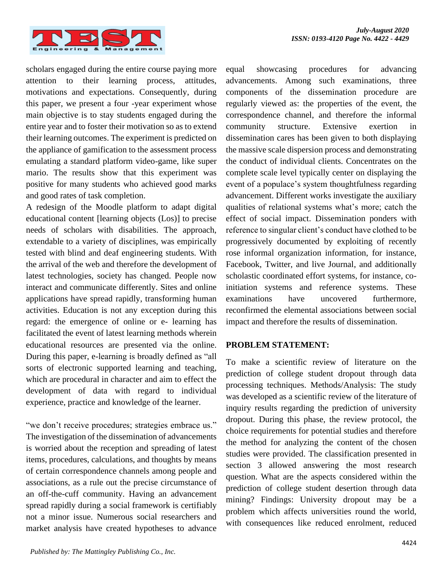

scholars engaged during the entire course paying more attention to their learning process, attitudes, motivations and expectations. Consequently, during this paper, we present a four -year experiment whose main objective is to stay students engaged during the entire year and to foster their motivation so as to extend their learning outcomes. The experiment is predicted on the appliance of gamification to the assessment process emulating a standard platform video-game, like super mario. The results show that this experiment was positive for many students who achieved good marks and good rates of task completion.

A redesign of the Moodle platform to adapt digital educational content [learning objects (Los)] to precise needs of scholars with disabilities. The approach, extendable to a variety of disciplines, was empirically tested with blind and deaf engineering students. With the arrival of the web and therefore the development of latest technologies, society has changed. People now interact and communicate differently. Sites and online applications have spread rapidly, transforming human activities. Education is not any exception during this regard: the emergence of online or e- learning has facilitated the event of latest learning methods wherein educational resources are presented via the online. During this paper, e-learning is broadly defined as "all sorts of electronic supported learning and teaching, which are procedural in character and aim to effect the development of data with regard to individual experience, practice and knowledge of the learner.

"we don't receive procedures; strategies embrace us." The investigation of the dissemination of advancements is worried about the reception and spreading of latest items, procedures, calculations, and thoughts by means of certain correspondence channels among people and associations, as a rule out the precise circumstance of an off-the-cuff community. Having an advancement spread rapidly during a social framework is certifiably not a minor issue. Numerous social researchers and market analysis have created hypotheses to advance

equal showcasing procedures for advancing advancements. Among such examinations, three components of the dissemination procedure are regularly viewed as: the properties of the event, the correspondence channel, and therefore the informal community structure. Extensive exertion in dissemination cares has been given to both displaying the massive scale dispersion process and demonstrating the conduct of individual clients. Concentrates on the complete scale level typically center on displaying the event of a populace's system thoughtfulness regarding advancement. Different works investigate the auxiliary qualities of relational systems what's more; catch the effect of social impact. Dissemination ponders with reference to singular client's conduct have clothed to be progressively documented by exploiting of recently rose informal organization information, for instance, Facebook, Twitter, and live Journal, and additionally scholastic coordinated effort systems, for instance, coinitiation systems and reference systems. These examinations have uncovered furthermore, reconfirmed the elemental associations between social impact and therefore the results of dissemination.

#### **PROBLEM STATEMENT:**

To make a scientific review of literature on the prediction of college student dropout through data processing techniques. Methods/Analysis: The study was developed as a scientific review of the literature of inquiry results regarding the prediction of university dropout. During this phase, the review protocol, the choice requirements for potential studies and therefore the method for analyzing the content of the chosen studies were provided. The classification presented in section 3 allowed answering the most research question. What are the aspects considered within the prediction of college student desertion through data mining? Findings: University dropout may be a problem which affects universities round the world, with consequences like reduced enrolment, reduced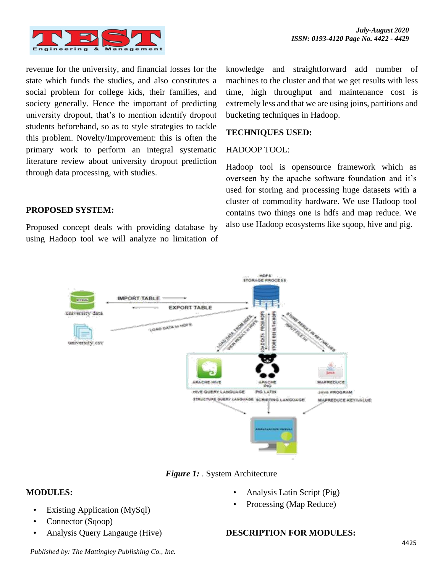

revenue for the university, and financial losses for the state which funds the studies, and also constitutes a social problem for college kids, their families, and society generally. Hence the important of predicting university dropout, that's to mention identify dropout students beforehand, so as to style strategies to tackle this problem. Novelty/Improvement: this is often the primary work to perform an integral systematic literature review about university dropout prediction through data processing, with studies.

**PROPOSED SYSTEM:**

Proposed concept deals with providing database by using Hadoop tool we will analyze no limitation of

knowledge and straightforward add number of machines to the cluster and that we get results with less time, high throughput and maintenance cost is extremely less and that we are using joins, partitions and bucketing techniques in Hadoop.

#### **TECHNIQUES USED:**

#### HADOOP TOOL:

Hadoop tool is opensource framework which as overseen by the apache software foundation and it's used for storing and processing huge datasets with a cluster of commodity hardware. We use Hadoop tool contains two things one is hdfs and map reduce. We also use Hadoop ecosystems like sqoop, hive and pig.



*Figure 1:* . System Architecture

#### **MODULES:**

- Existing Application (MySql)
- Connector (Sqoop)
- Analysis Query Langauge (Hive)

# • Analysis Latin Script (Pig)

Processing (Map Reduce)

#### **DESCRIPTION FOR MODULES:**

*Published by: The Mattingley Publishing Co., Inc.*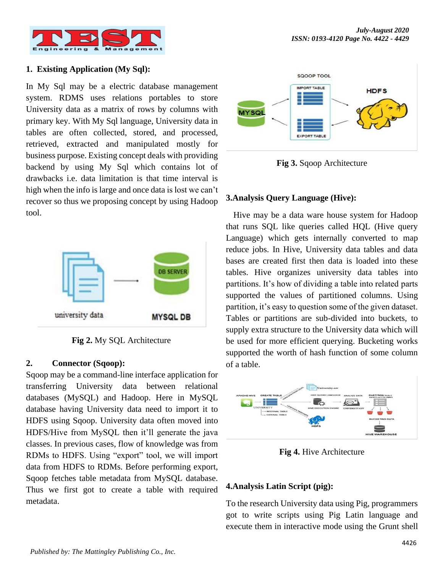

### **1. Existing Application (My Sql):**

In My Sql may be a electric database management system. RDMS uses relations portables to store University data as a matrix of rows by columns with primary key. With My Sql language, University data in tables are often collected, stored, and processed, retrieved, extracted and manipulated mostly for business purpose. Existing concept deals with providing backend by using My Sql which contains lot of drawbacks i.e. data limitation is that time interval is high when the info is large and once data is lost we can't recover so thus we proposing concept by using Hadoop tool.



**Fig 2.** My SQL Architecture

#### **2. Connector (Sqoop):**

Sqoop may be a command-line interface application for transferring University data between relational databases (MySQL) and Hadoop. Here in MySQL database having University data need to import it to HDFS using Sqoop. University data often moved into HDFS/Hive from MySQL then it'll generate the java classes. In previous cases, flow of knowledge was from RDMs to HDFS. Using "export" tool, we will import data from HDFS to RDMs. Before performing export, Sqoop fetches table metadata from MySQL database. Thus we first got to create a table with required metadata.



**Fig 3.** Sqoop Architecture

#### **3.Analysis Query Language (Hive):**

Hive may be a data ware house system for Hadoop that runs SQL like queries called HQL (Hive query Language) which gets internally converted to map reduce jobs. In Hive, University data tables and data bases are created first then data is loaded into these tables. Hive organizes university data tables into partitions. It's how of dividing a table into related parts supported the values of partitioned columns. Using partition, it's easy to question some of the given dataset. Tables or partitions are sub-divided into buckets, to supply extra structure to the University data which will be used for more efficient querying. Bucketing works supported the worth of hash function of some column of a table.



**Fig 4.** Hive Architecture

#### **4.Analysis Latin Script (pig):**

To the research University data using Pig, programmers got to write scripts using Pig Latin language and execute them in interactive mode using the Grunt shell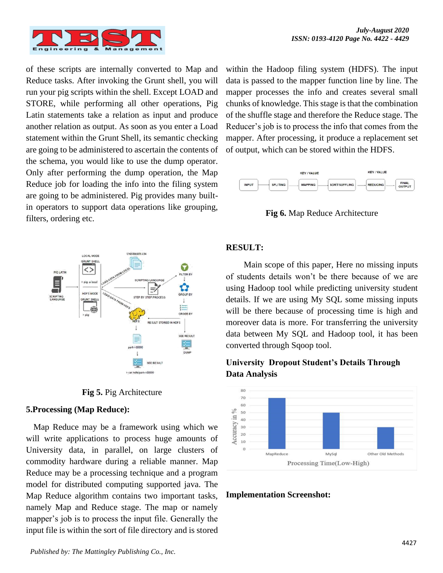

of these scripts are internally converted to Map and Reduce tasks. After invoking the Grunt shell, you will run your pig scripts within the shell. Except LOAD and STORE, while performing all other operations, Pig Latin statements take a relation as input and produce another relation as output. As soon as you enter a Load statement within the Grunt Shell, its semantic checking are going to be administered to ascertain the contents of the schema, you would like to use the dump operator. Only after performing the dump operation, the Map Reduce job for loading the info into the filing system are going to be administered. Pig provides many builtin operators to support data operations like grouping, filters, ordering etc.



**Fig 5.** Pig Architecture

#### **5.Processing (Map Reduce):**

Map Reduce may be a framework using which we will write applications to process huge amounts of University data, in parallel, on large clusters of commodity hardware during a reliable manner. Map Reduce may be a processing technique and a program model for distributed computing supported java. The Map Reduce algorithm contains two important tasks, namely Map and Reduce stage. The map or namely mapper's job is to process the input file. Generally the input file is within the sort of file directory and is stored

within the Hadoop filing system (HDFS). The input data is passed to the mapper function line by line. The mapper processes the info and creates several small chunks of knowledge. This stage is that the combination of the shuffle stage and therefore the Reduce stage. The Reducer's job is to process the info that comes from the mapper. After processing, it produce a replacement set of output, which can be stored within the HDFS.



**Fig 6.** Map Reduce Architecture

#### **RESULT:**

Main scope of this paper, Here no missing inputs of students details won't be there because of we are using Hadoop tool while predicting university student details. If we are using My SQL some missing inputs will be there because of processing time is high and moreover data is more. For transferring the university data between My SQL and Hadoop tool, it has been converted through Sqoop tool.

# **University Dropout Student's Details Through Data Analysis**



**Implementation Screenshot:**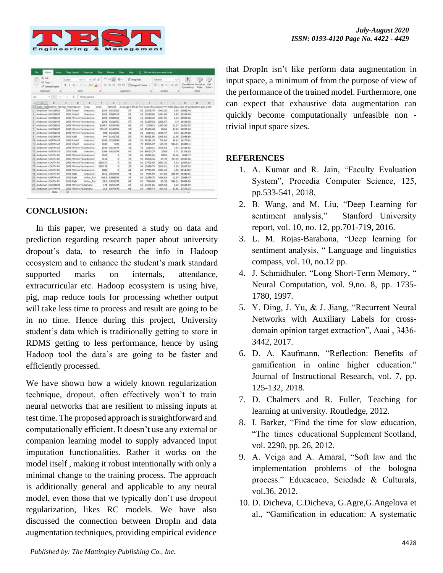

|    | Fás                                  | Harne <sup>1</sup> |                    | <b>kroach</b> |           | Page Layout  |      | Formular                                                                                           | Data           | <b>Review</b>   | View     | <b>Fleip</b>  | o                         |                  | Tell me what you want to do                                                       |        |                                           |        |                 |
|----|--------------------------------------|--------------------|--------------------|---------------|-----------|--------------|------|----------------------------------------------------------------------------------------------------|----------------|-----------------|----------|---------------|---------------------------|------------------|-----------------------------------------------------------------------------------|--------|-------------------------------------------|--------|-----------------|
|    | X Cut                                |                    |                    |               | Cultilate |              |      | $V$ II $V$ A $A$                                                                                   | $\equiv$       | $=$             | $x$ .    |               | FT Wrap Text              |                  | General                                                                           | $\sim$ | H.                                        |        | m)              |
|    | <b>Ell</b> Copy<br>Parche            |                    | -S' Format Painter |               | $E$ $I$   | u            |      | $\mathbb{E}\left[\mathbb{E}\left[\mathbb{E}\left[\mathbf{Q}\right]\right]\mathbf{A}\right]\right]$ |                | E. H. 28        |          |               | FORD ED Marge & Center := |                  | 切·なと 関西                                                                           |        | Canditional Format<br>Formating . Table . |        | Call<br>Stylec+ |
|    | Diplogard                            |                    |                    |               |           |              | Fand |                                                                                                    |                |                 |          | Aligriment    |                           | $\sim$           | <b>Number</b>                                                                     |        |                                           | Stafes |                 |
| A1 |                                      | ٠                  |                    |               |           | £            |      | State Name                                                                                         |                |                 |          |               |                           |                  |                                                                                   |        |                                           |        |                 |
|    |                                      |                    |                    |               |           |              |      |                                                                                                    |                |                 |          |               |                           |                  |                                                                                   |        |                                           |        |                 |
|    |                                      |                    | ٠                  |               |           | D            |      |                                                                                                    | $\blacksquare$ | G               |          | $\frac{1}{2}$ |                           |                  |                                                                                   |        | M                                         | N      | o               |
|    | State Nav District N Crop YearSeason |                    |                    |               |           |              |      | Crop                                                                                               | Area           | Eabhrägt        |          |               |                           |                  | Average HMean Terr Cost of Cu Cost of Pri Yield (Qui cost of production per yield |        |                                           |        |                 |
|    | Andaman NICOBARS                     |                    |                    |               |           | 3000 Khariff |      | Arecunut                                                                                           |                | 1254 0.012361   |          | 57            |                           | 62 21076.74      | 1941.55                                                                           |        | 9.83 19085.44                             |        |                 |
|    | Anderson NICOBARS                    |                    |                    |               |           | 2001 Khurif  |      | Arecanut                                                                                           |                | 1254 0.004119   |          | 56            | 58                        | 12610.85         | 1691.66                                                                           |        | 6.83 11554.04                             |        |                 |
|    | Andaman NICOBARS                     |                    |                    |               |           |              |      | 2002 Whole Yei Arecanut                                                                            |                | 1258 0.000064   |          | 56            | 53                        | 32683.46         | 3207.35                                                                           |        | 9.33 29934.58                             |        |                 |
|    | Andamin NICOBARS                     |                    |                    |               |           |              |      | 2003 Whole Yai Arecanut                                                                            |                | 1261 0.181051   |          | 57            | 54'                       | 13209.32         | 2228.97                                                                           |        | 5.9 13150.92                              |        |                 |
|    | Andaman NICORARS                     |                    |                    |               |           |              |      | 2004 Whole Yel Arecanut                                                                            |                | 1364.7.0.035446 |          | 63            | 67                        | 22560.3          | 1595.56                                                                           | 11.57  | 21651.75                                  |        |                 |
|    | Andaman NICOBAR!                     |                    |                    |               |           |              |      | 2005 Whole Ye Arecanut                                                                             | 795.67         | 0.166536        |          | 37            | 64                        | 35423.40         | <b>BOA A</b>                                                                      |        | 39.83 12055.18                            |        |                 |
|    | Andaman NICOBARS                     |                    |                    |               |           |              |      | 2006 Whole Tel Arecenut                                                                            |                | R96 0.211295    |          | 38            | 58                        | 38144.5          | 2539.47                                                                           |        | 8.22 22144.18                             |        |                 |
|    | Andaman NICOBARS                     |                    |                    |               |           | 2010 Rabi    |      | Arecanut                                                                                           |                | 944 0.242758    |          | 52            | 25                        | <b>\$5801.55</b> | 1918.92                                                                           |        | 11.98 22988.66                            |        |                 |
|    | Anderson NORTH AF                    |                    |                    |               |           | 2000 Kharif  |      | Arecarult                                                                                          |                | 3103 0.231896   |          | 36            | 81                        | 45291.34         | 715.04                                                                            |        | 36.61 26177.61                            |        |                 |
|    | Andaman NORTH AT                     |                    |                    |               |           | 2001 Kharif  |      | Arecarut                                                                                           | 2100           | 0.09            |          | 21            | 75                        | 89025.27         | 119.72                                                                            | 985.21 | 118569.1                                  |        |                 |
|    | Andaman NORTH AF                     |                    |                    |               |           |              |      | 2006 Whole Ye Arecanut                                                                             | 1103           | 0.013879        |          | 34            | 72                        | 38344.5          | 1670.54                                                                           |        | 7.47 37414.91                             |        |                 |
|    | <b>ES Andaman NORTH AF</b>           |                    |                    |               |           | 2010 Rabi    |      | <b>Arecanut</b>                                                                                    |                | 1296 0.011879   |          | 40            |                           | 84 89025.27      | 2358                                                                              |        | 4.71 11106.18                             |        |                 |
| 14 | Andaman SOUTH AS                     |                    |                    |               |           |              |      | 2002 Whole Ya Aracanut                                                                             | 5105           |                 | $\sigma$ | 15            | 56                        | 19083.55         | 789.9                                                                             | 33.04  | 30837.7                                   |        |                 |
|    | Andaman SOUTH AN                     |                    |                    |               |           |              |      | 2003 Whole Fer Arecanut                                                                            | 3118           |                 | ä        | 12            | 55.                       | 29876.36         | 85.79                                                                             | 757.92 | 65021.96                                  |        |                 |
|    | Andaman SOUTH AN                     |                    |                    |               |           |              |      | 2004 Whole Yei Arecanut                                                                            | 3140.67        |                 | ٥        | 56            | 91                        | 17705.93         | 2003.76                                                                           |        | 6.42 12864.14                             |        |                 |
|    | IT Andersen SOUTH AN                 |                    |                    |               |           |              |      | 2005. Whole Yel Arecanut                                                                           | 3250.78        |                 | $\sigma$ | 27            | u                         | 22449.75         | 2554.91                                                                           | 8.0%   | 30547.03                                  |        |                 |
| 18 | Andaman SOUTH AN                     |                    |                    |               |           |              |      | 2006 Whole Ye Arecend                                                                              | 2000           |                 | o        | 64            | no:                       | 17705.53         | 2261.34                                                                           | 4.03   | 9158,022                                  |        |                 |
|    | Andamin SOUTH AN                     |                    |                    |               |           | 2010 Rabi    |      | Ankcanut                                                                                           |                | 1912 0.053338   |          | 34            | 83                        | 9185.59          | 107.56                                                                            | 448.89 | 48282.61                                  |        |                 |
|    | Andaman NORTH AF                     |                    |                    |               |           | 2010 RAN     |      | Arhar Tur                                                                                          |                | 294.5 0.066545  |          | $^{14}$       | 54                        | 22489.75         | 1918.92                                                                           | 11.97  | 22965.47                                  |        |                 |
|    | 21 Andaman SOUTH AN                  |                    |                    |               |           | 2010 Rabi    |      | Arhar Tur.                                                                                         |                | 20.5 0.021078   |          | 68            | 85                        | 7868.64          | 85.79                                                                             | 986.21 | 34506.96                                  |        |                 |
|    | 22 Andersen NICOBAR!                 |                    |                    |               |           |              |      | 3000 Whole Ye Sanara                                                                               |                | 176 0.031747    |          | 42            | 56                        | 24171.65         | 1670.54                                                                           |        | 6.42 23564.87                             |        |                 |
|    | 23 Andaman NICOBARS                  |                    |                    |               |           |              |      | 2002 Whole Ye Banana                                                                               |                | 211 0.077676    |          | 66            | 55.                       | 19857.7          | 404.43                                                                            |        | 42.55 17170.22                            |        |                 |
|    |                                      |                    |                    |               |           |              |      |                                                                                                    |                |                 |          |               |                           |                  |                                                                                   |        |                                           |        |                 |

## **CONCLUSION:**

In this paper, we presented a study on data and prediction regarding research paper about university dropout's data, to research the info in Hadoop ecosystem and to enhance the student's mark standard supported marks on internals, attendance, extracurricular etc. Hadoop ecosystem is using hive, pig, map reduce tools for processing whether output will take less time to process and result are going to be in no time. Hence during this project, University student's data which is traditionally getting to store in RDMS getting to less performance, hence by using Hadoop tool the data's are going to be faster and efficiently processed.

We have shown how a widely known regularization technique, dropout, often effectively won't to train neural networks that are resilient to missing inputs at test time. The proposed approach is straightforward and computationally efficient. It doesn't use any external or companion learning model to supply advanced input imputation functionalities. Rather it works on the model itself , making it robust intentionally with only a minimal change to the training process. The approach is additionally general and applicable to any neural model, even those that we typically don't use dropout regularization, likes RC models. We have also discussed the connection between DropIn and data augmentation techniques, providing empirical evidence

that DropIn isn't like perform data augmentation in input space, a minimum of from the purpose of view of the performance of the trained model. Furthermore, one can expect that exhaustive data augmentation can quickly become computationally unfeasible non trivial input space sizes.

#### **REFERENCES**

- 1. A. Kumar and R. Jain, "Faculty Evaluation System", Procedia Computer Science, 125, pp.533-541, 2018.
- 2. B. Wang, and M. Liu, "Deep Learning for sentiment analysis," Stanford University report, vol. 10, no. 12, pp.701-719, 2016.
- 3. L. M. Rojas-Barahona, "Deep learning for sentiment analysis, "Language and linguistics compass, vol. 10, no.12 pp.
- 4. J. Schmidhuler, "Long Short-Term Memory, " Neural Computation, vol. 9,no. 8, pp. 1735- 1780, 1997.
- 5. Y. Ding, J. Yu, & J. Jiang, "Recurrent Neural Networks with Auxiliary Labels for crossdomain opinion target extraction", Aaai , 3436- 3442, 2017.
- 6. D. A. Kaufmann, "Reflection: Benefits of gamification in online higher education." Journal of Instructional Research, vol. 7, pp. 125-132, 2018.
- 7. D. Chalmers and R. Fuller, Teaching for learning at university. Routledge, 2012.
- 8. I. Barker, "Find the time for slow education, "The times educational Supplement Scotland, vol. 2290, pp. 26, 2012.
- 9. A. Veiga and A. Amaral, "Soft law and the implementation problems of the bologna process." Educacaco, Sciedade & Culturals, vol.36, 2012.
- 10. D. Dicheva, C.Dicheva, G.Agre,G.Angelova et al., "Gamification in education: A systematic